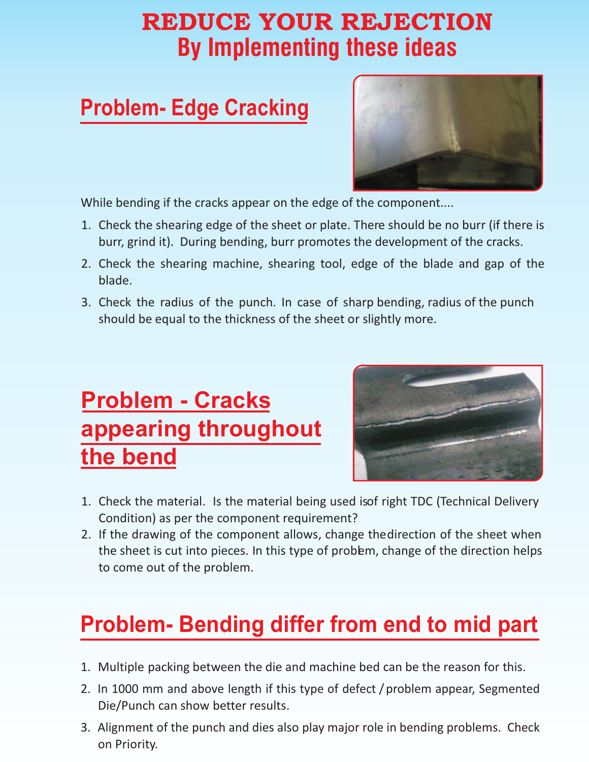## **By Implementing these ideas**  REDUCE YOUR REJECTION

#### **Problem- Edge Cracking**



While bending if the cracks appear on the edge of the component....

- 1. Check the shearing edge of the sheet or plate. There should be no burr (if there is burr, grind it). During bending, burr promotes the development of the cracks.
- 2. Check the shearing machine, shearing tool, edge of the blade and gap of the blade.
- 3. Check the radius of the punch. In case of sharp bending, radius of the punch should be equal to the thickness of the sheet or slightly more.

## **Problem - Cracks appearing throughout the bend**



- 1. Check the material. Is the material being used isof right TDC (Technical Delivery Condition) as per the component requirement?
- 2. If the drawing of the component allows, change the direction of the sheet when the sheet is cut into pieces. In this type of probem, change of the direction helps to come out of the problem.

# **Problem- Bending differ from end to mid part**

- 1. Multiple packing between the die and machine bed can be the reason for this.
- 2. In 1000 mm and above length if this type of defect / problem appear, Segmented Die/Punch can show better results.
- 3. Alignment of the punch and dies also play major role in bending problems. Check on Priority.